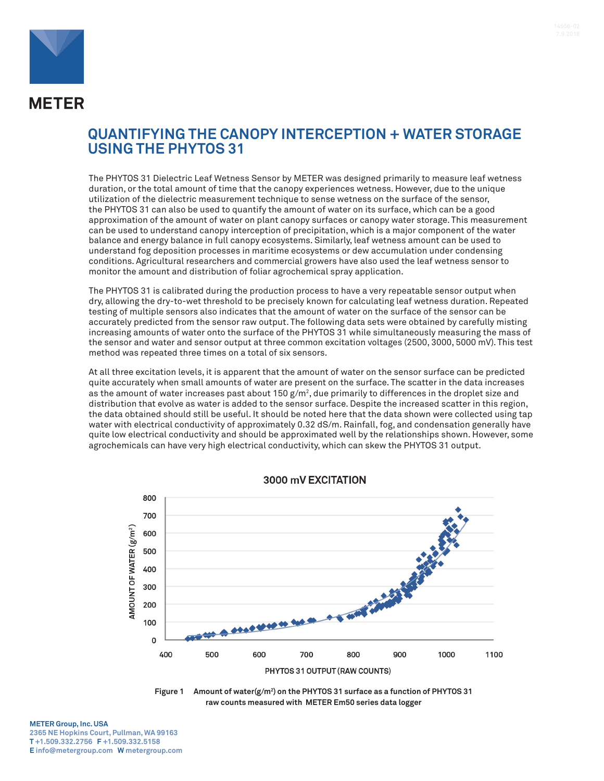

## **QUANTIFYING THE CANOPY INTERCEPTION + WATER STORAGE USING THE PHYTOS 31**

The PHYTOS 31 Dielectric Leaf Wetness Sensor by METER was designed primarily to measure leaf wetness duration, or the total amount of time that the canopy experiences wetness. However, due to the unique utilization of the dielectric measurement technique to sense wetness on the surface of the sensor, the PHYTOS 31 can also be used to quantify the amount of water on its surface, which can be a good approximation of the amount of water on plant canopy surfaces or canopy water storage. This measurement can be used to understand canopy interception of precipitation, which is a major component of the water balance and energy balance in full canopy ecosystems. Similarly, leaf wetness amount can be used to understand fog deposition processes in maritime ecosystems or dew accumulation under condensing conditions. Agricultural researchers and commercial growers have also used the leaf wetness sensor to monitor the amount and distribution of foliar agrochemical spray application.

The PHYTOS 31 is calibrated during the production process to have a very repeatable sensor output when dry, allowing the dry-to-wet threshold to be precisely known for calculating leaf wetness duration. Repeated testing of multiple sensors also indicates that the amount of water on the surface of the sensor can be accurately predicted from the sensor raw output. The following data sets were obtained by carefully misting increasing amounts of water onto the surface of the PHYTOS 31 while simultaneously measuring the mass of the sensor and water and sensor output at three common excitation voltages (2500, 3000, 5000 mV). This test method was repeated three times on a total of six sensors.

At all three excitation levels, it is apparent that the amount of water on the sensor surface can be predicted quite accurately when small amounts of water are present on the surface. The scatter in the data increases as the amount of water increases past about 150 g/m², due primarily to differences in the droplet size and distribution that evolve as water is added to the sensor surface. Despite the increased scatter in this region, the data obtained should still be useful. It should be noted here that the data shown were collected using tap water with electrical conductivity of approximately 0.32 dS/m. Rainfall, fog, and condensation generally have quite low electrical conductivity and should be approximated well by the relationships shown. However, some agrochemicals can have very high electrical conductivity, which can skew the PHYTOS 31 output.



3000 mV EXCITATION



## **METER Group, Inc. USA 2365 NE Hopkins Court, Pullman, WA 99163 T +1.509.332.2756 F +1.509.332.5158 E info@metergroup.com W metergroup.com**